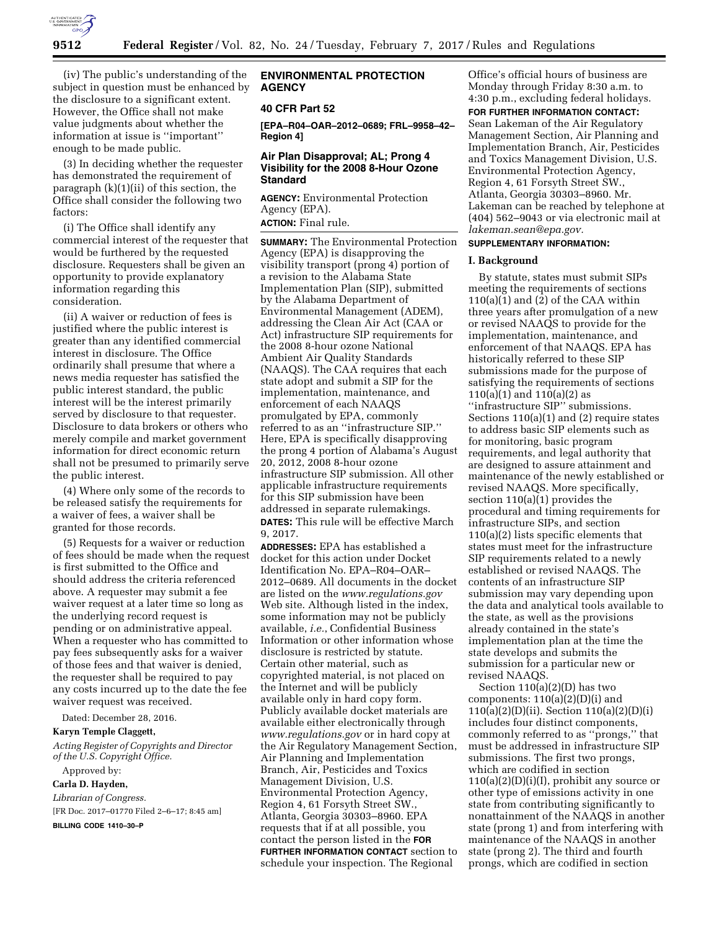

(iv) The public's understanding of the subject in question must be enhanced by the disclosure to a significant extent. However, the Office shall not make value judgments about whether the information at issue is ''important'' enough to be made public.

(3) In deciding whether the requester has demonstrated the requirement of paragraph (k)(1)(ii) of this section, the Office shall consider the following two factors:

(i) The Office shall identify any commercial interest of the requester that would be furthered by the requested disclosure. Requesters shall be given an opportunity to provide explanatory information regarding this consideration.

(ii) A waiver or reduction of fees is justified where the public interest is greater than any identified commercial interest in disclosure. The Office ordinarily shall presume that where a news media requester has satisfied the public interest standard, the public interest will be the interest primarily served by disclosure to that requester. Disclosure to data brokers or others who merely compile and market government information for direct economic return shall not be presumed to primarily serve the public interest.

(4) Where only some of the records to be released satisfy the requirements for a waiver of fees, a waiver shall be granted for those records.

(5) Requests for a waiver or reduction of fees should be made when the request is first submitted to the Office and should address the criteria referenced above. A requester may submit a fee waiver request at a later time so long as the underlying record request is pending or on administrative appeal. When a requester who has committed to pay fees subsequently asks for a waiver of those fees and that waiver is denied, the requester shall be required to pay any costs incurred up to the date the fee waiver request was received.

Dated: December 28, 2016.

#### **Karyn Temple Claggett,**

*Acting Register of Copyrights and Director of the U.S. Copyright Office.* 

Approved by:

## **Carla D. Hayden,**

*Librarian of Congress.*  [FR Doc. 2017–01770 Filed 2–6–17; 8:45 am] **BILLING CODE 1410–30–P** 

#### **ENVIRONMENTAL PROTECTION AGENCY**

#### **40 CFR Part 52**

**[EPA–R04–OAR–2012–0689; FRL–9958–42– Region 4]** 

# **Air Plan Disapproval; AL; Prong 4 Visibility for the 2008 8-Hour Ozone Standard**

**AGENCY:** Environmental Protection Agency (EPA). **ACTION:** Final rule.

**SUMMARY:** The Environmental Protection Agency (EPA) is disapproving the visibility transport (prong 4) portion of a revision to the Alabama State Implementation Plan (SIP), submitted by the Alabama Department of Environmental Management (ADEM), addressing the Clean Air Act (CAA or Act) infrastructure SIP requirements for the 2008 8-hour ozone National Ambient Air Quality Standards (NAAQS). The CAA requires that each state adopt and submit a SIP for the implementation, maintenance, and enforcement of each NAAQS promulgated by EPA, commonly referred to as an ''infrastructure SIP.'' Here, EPA is specifically disapproving the prong 4 portion of Alabama's August 20, 2012, 2008 8-hour ozone infrastructure SIP submission. All other applicable infrastructure requirements for this SIP submission have been addressed in separate rulemakings. **DATES:** This rule will be effective March 9, 2017.

**ADDRESSES:** EPA has established a docket for this action under Docket Identification No. EPA–R04–OAR– 2012–0689. All documents in the docket are listed on the *[www.regulations.gov](http://www.regulations.gov)*  Web site. Although listed in the index, some information may not be publicly available, *i.e.*, Confidential Business Information or other information whose disclosure is restricted by statute. Certain other material, such as copyrighted material, is not placed on the Internet and will be publicly available only in hard copy form. Publicly available docket materials are available either electronically through *[www.regulations.gov](http://www.regulations.gov)* or in hard copy at the Air Regulatory Management Section, Air Planning and Implementation Branch, Air, Pesticides and Toxics Management Division, U.S. Environmental Protection Agency, Region 4, 61 Forsyth Street SW., Atlanta, Georgia 30303–8960. EPA requests that if at all possible, you contact the person listed in the **FOR FURTHER INFORMATION CONTACT** section to schedule your inspection. The Regional

Office's official hours of business are Monday through Friday 8:30 a.m. to 4:30 p.m., excluding federal holidays.

**FOR FURTHER INFORMATION CONTACT:**  Sean Lakeman of the Air Regulatory Management Section, Air Planning and Implementation Branch, Air, Pesticides and Toxics Management Division, U.S. Environmental Protection Agency, Region 4, 61 Forsyth Street SW., Atlanta, Georgia 30303–8960. Mr. Lakeman can be reached by telephone at (404) 562–9043 or via electronic mail at *[lakeman.sean@epa.gov.](mailto:lakeman.sean@epa.gov)* 

# **SUPPLEMENTARY INFORMATION:**

#### **I. Background**

By statute, states must submit SIPs meeting the requirements of sections 110(a)(1) and (2) of the CAA within three years after promulgation of a new or revised NAAQS to provide for the implementation, maintenance, and enforcement of that NAAQS. EPA has historically referred to these SIP submissions made for the purpose of satisfying the requirements of sections 110(a)(1) and 110(a)(2) as ''infrastructure SIP'' submissions. Sections 110(a)(1) and (2) require states to address basic SIP elements such as for monitoring, basic program requirements, and legal authority that are designed to assure attainment and maintenance of the newly established or revised NAAQS. More specifically, section 110(a)(1) provides the procedural and timing requirements for infrastructure SIPs, and section 110(a)(2) lists specific elements that states must meet for the infrastructure SIP requirements related to a newly established or revised NAAQS. The contents of an infrastructure SIP submission may vary depending upon the data and analytical tools available to the state, as well as the provisions already contained in the state's implementation plan at the time the state develops and submits the submission for a particular new or revised NAAQS.

Section 110(a)(2)(D) has two components: 110(a)(2)(D)(i) and 110(a)(2)(D)(ii). Section 110(a)(2)(D)(i) includes four distinct components, commonly referred to as ''prongs,'' that must be addressed in infrastructure SIP submissions. The first two prongs, which are codified in section  $110(a)(2)(D)(i)(I)$ , prohibit any source or other type of emissions activity in one state from contributing significantly to nonattainment of the NAAQS in another state (prong 1) and from interfering with maintenance of the NAAQS in another state (prong 2). The third and fourth prongs, which are codified in section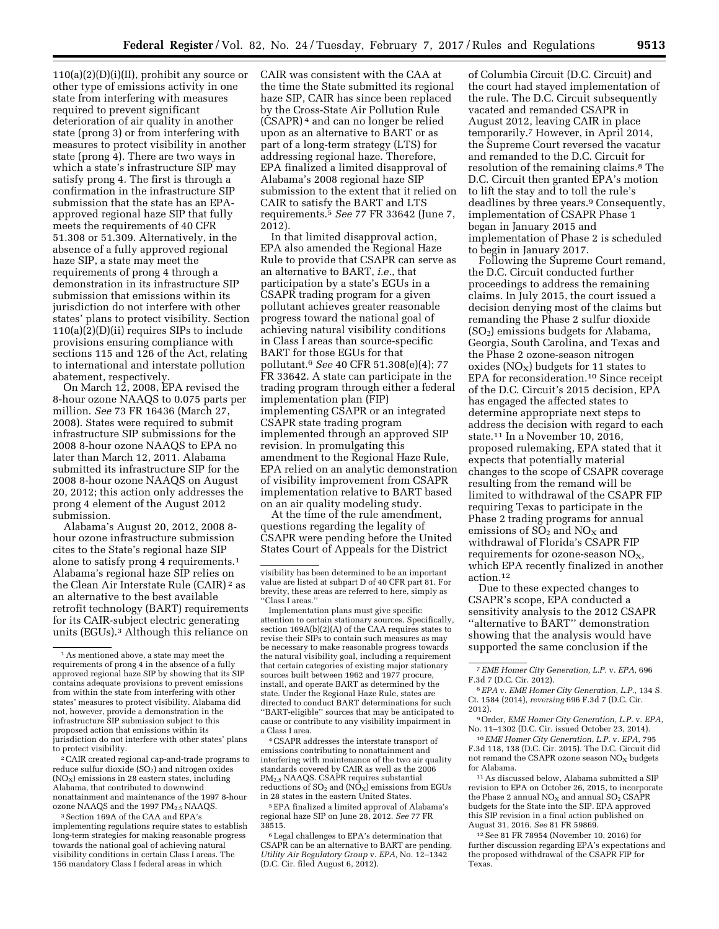$110(a)(2)(D)(i)(II)$ , prohibit any source or other type of emissions activity in one state from interfering with measures required to prevent significant deterioration of air quality in another state (prong 3) or from interfering with measures to protect visibility in another state (prong 4). There are two ways in which a state's infrastructure SIP may satisfy prong 4. The first is through a confirmation in the infrastructure SIP submission that the state has an EPAapproved regional haze SIP that fully meets the requirements of 40 CFR 51.308 or 51.309. Alternatively, in the absence of a fully approved regional haze SIP, a state may meet the requirements of prong 4 through a demonstration in its infrastructure SIP submission that emissions within its jurisdiction do not interfere with other states' plans to protect visibility. Section 110(a)(2)(D)(ii) requires SIPs to include provisions ensuring compliance with sections 115 and 126 of the Act, relating to international and interstate pollution abatement, respectively.

On March 12, 2008, EPA revised the 8-hour ozone NAAQS to 0.075 parts per million. *See* 73 FR 16436 (March 27, 2008). States were required to submit infrastructure SIP submissions for the 2008 8-hour ozone NAAQS to EPA no later than March 12, 2011. Alabama submitted its infrastructure SIP for the 2008 8-hour ozone NAAQS on August 20, 2012; this action only addresses the prong 4 element of the August 2012 submission.

Alabama's August 20, 2012, 2008 8 hour ozone infrastructure submission cites to the State's regional haze SIP alone to satisfy prong 4 requirements.1 Alabama's regional haze SIP relies on the Clean Air Interstate Rule (CAIR) 2 as an alternative to the best available retrofit technology (BART) requirements for its CAIR-subject electric generating units (EGUs).3 Although this reliance on

2CAIR created regional cap-and-trade programs to reduce sulfur dioxide  $(SO<sub>2</sub>)$  and nitrogen oxides  $(NO<sub>x</sub>)$  emissions in 28 eastern states, including Alabama, that contributed to downwind nonattainment and maintenance of the 1997 8-hour ozone NAAQS and the 1997  $\text{PM}_{2.5}$  NAAQS.

3Section 169A of the CAA and EPA's implementing regulations require states to establish long-term strategies for making reasonable progress towards the national goal of achieving natural visibility conditions in certain Class I areas. The 156 mandatory Class I federal areas in which

CAIR was consistent with the CAA at the time the State submitted its regional haze SIP, CAIR has since been replaced by the Cross-State Air Pollution Rule (CSAPR) 4 and can no longer be relied upon as an alternative to BART or as part of a long-term strategy (LTS) for addressing regional haze. Therefore, EPA finalized a limited disapproval of Alabama's 2008 regional haze SIP submission to the extent that it relied on CAIR to satisfy the BART and LTS requirements.5 *See* 77 FR 33642 (June 7, 2012).

In that limited disapproval action, EPA also amended the Regional Haze Rule to provide that CSAPR can serve as an alternative to BART, *i.e.,* that participation by a state's EGUs in a CSAPR trading program for a given pollutant achieves greater reasonable progress toward the national goal of achieving natural visibility conditions in Class I areas than source-specific BART for those EGUs for that pollutant.6 *See* 40 CFR 51.308(e)(4); 77 FR 33642. A state can participate in the trading program through either a federal implementation plan (FIP) implementing CSAPR or an integrated CSAPR state trading program implemented through an approved SIP revision. In promulgating this amendment to the Regional Haze Rule, EPA relied on an analytic demonstration of visibility improvement from CSAPR implementation relative to BART based on an air quality modeling study.

At the time of the rule amendment, questions regarding the legality of CSAPR were pending before the United States Court of Appeals for the District

Implementation plans must give specific attention to certain stationary sources. Specifically, section 169A(b)(2)(A) of the CAA requires states to revise their SIPs to contain such measures as may be necessary to make reasonable progress towards the natural visibility goal, including a requirement that certain categories of existing major stationary sources built between 1962 and 1977 procure, install, and operate BART as determined by the state. Under the Regional Haze Rule, states are directed to conduct BART determinations for such ''BART-eligible'' sources that may be anticipated to cause or contribute to any visibility impairment in a Class I area.

4CSAPR addresses the interstate transport of emissions contributing to nonattainment and interfering with maintenance of the two air quality standards covered by CAIR as well as the 2006 PM2.5 NAAQS. CSAPR requires substantial reductions of  $SO_2$  and  $(NO_X)$  emissions from EGUs in 28 states in the eastern United States.

5EPA finalized a limited approval of Alabama's regional haze SIP on June 28, 2012. *See* 77 FR 38515.

6Legal challenges to EPA's determination that CSAPR can be an alternative to BART are pending. *Utility Air Regulatory Group* v. *EPA,* No. 12–1342 (D.C. Cir. filed August 6, 2012).

of Columbia Circuit (D.C. Circuit) and the court had stayed implementation of the rule. The D.C. Circuit subsequently vacated and remanded CSAPR in August 2012, leaving CAIR in place temporarily.7 However, in April 2014, the Supreme Court reversed the vacatur and remanded to the D.C. Circuit for resolution of the remaining claims.8 The D.C. Circuit then granted EPA's motion to lift the stay and to toll the rule's deadlines by three years.9 Consequently, implementation of CSAPR Phase 1 began in January 2015 and implementation of Phase 2 is scheduled to begin in January 2017.

Following the Supreme Court remand, the D.C. Circuit conducted further proceedings to address the remaining claims. In July 2015, the court issued a decision denying most of the claims but remanding the Phase 2 sulfur dioxide  $(SO<sub>2</sub>)$  emissions budgets for Alabama, Georgia, South Carolina, and Texas and the Phase 2 ozone-season nitrogen oxides ( $NO<sub>X</sub>$ ) budgets for 11 states to EPA for reconsideration.10 Since receipt of the D.C. Circuit's 2015 decision, EPA has engaged the affected states to determine appropriate next steps to address the decision with regard to each state.11 In a November 10, 2016, proposed rulemaking, EPA stated that it expects that potentially material changes to the scope of CSAPR coverage resulting from the remand will be limited to withdrawal of the CSAPR FIP requiring Texas to participate in the Phase 2 trading programs for annual emissions of  $SO<sub>2</sub>$  and  $NO<sub>x</sub>$  and withdrawal of Florida's CSAPR FIP requirements for ozone-season  $NO<sub>X</sub>$ , which EPA recently finalized in another action.12

Due to these expected changes to CSAPR's scope, EPA conducted a sensitivity analysis to the 2012 CSAPR ''alternative to BART'' demonstration showing that the analysis would have supported the same conclusion if the

11As discussed below, Alabama submitted a SIP revision to EPA on October 26, 2015, to incorporate the Phase 2 annual  $NO<sub>x</sub>$  and annual  $SO<sub>2</sub>$  CSAPR budgets for the State into the SIP. EPA approved this SIP revision in a final action published on August 31, 2016. *See* 81 FR 59869.

12See 81 FR 78954 (November 10, 2016) for further discussion regarding EPA's expectations and the proposed withdrawal of the CSAPR FIP for Texas.

<sup>1</sup>As mentioned above, a state may meet the requirements of prong 4 in the absence of a fully approved regional haze SIP by showing that its SIP contains adequate provisions to prevent emissions from within the state from interfering with other states' measures to protect visibility. Alabama did not, however, provide a demonstration in the infrastructure SIP submission subject to this proposed action that emissions within its jurisdiction do not interfere with other states' plans to protect visibility.

visibility has been determined to be an important value are listed at subpart D of 40 CFR part 81. For brevity, these areas are referred to here, simply as ''Class I areas.''

<sup>7</sup>*EME Homer City Generation, L.P.* v. *EPA,* 696 F.3d 7 (D.C. Cir. 2012).

<sup>8</sup>*EPA* v. *EME Homer City Generation, L.P.,* 134 S. Ct. 1584 (2014), *reversing* 696 F.3d 7 (D.C. Cir. 2012).

<sup>9</sup>Order, *EME Homer City Generation, L.P.* v. *EPA,*  No. 11–1302 (D.C. Cir. issued October 23, 2014).

<sup>10</sup>*EME Homer City Generation, L.P.* v. *EPA,* 795 F.3d 118, 138 (D.C. Cir. 2015). The D.C. Circuit did not remand the CSAPR ozone season  $NO<sub>x</sub>$  budgets for Alabama.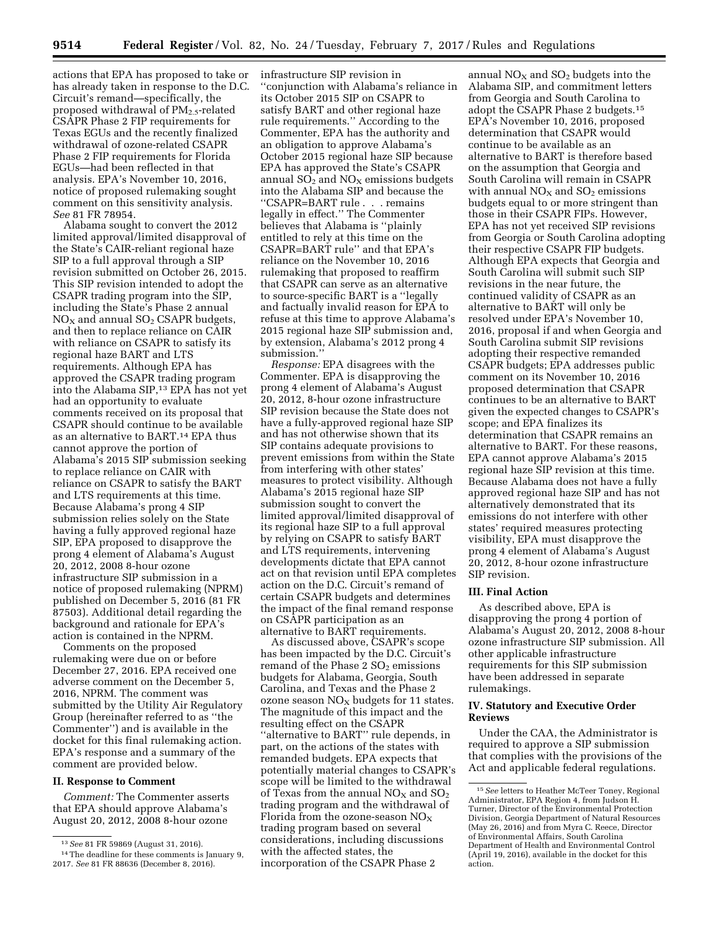actions that EPA has proposed to take or has already taken in response to the D.C. Circuit's remand—specifically, the proposed withdrawal of  $PM_{2.5}$ -related CSAPR Phase 2 FIP requirements for Texas EGUs and the recently finalized withdrawal of ozone-related CSAPR Phase 2 FIP requirements for Florida EGUs—had been reflected in that analysis. EPA's November 10, 2016, notice of proposed rulemaking sought comment on this sensitivity analysis. *See* 81 FR 78954.

Alabama sought to convert the 2012 limited approval/limited disapproval of the State's CAIR-reliant regional haze SIP to a full approval through a SIP revision submitted on October 26, 2015. This SIP revision intended to adopt the CSAPR trading program into the SIP, including the State's Phase 2 annual  $NO<sub>x</sub>$  and annual  $SO<sub>2</sub>$  CSAPR budgets, and then to replace reliance on CAIR with reliance on CSAPR to satisfy its regional haze BART and LTS requirements. Although EPA has approved the CSAPR trading program into the Alabama SIP,13 EPA has not yet had an opportunity to evaluate comments received on its proposal that CSAPR should continue to be available as an alternative to BART.14 EPA thus cannot approve the portion of Alabama's 2015 SIP submission seeking to replace reliance on CAIR with reliance on CSAPR to satisfy the BART and LTS requirements at this time. Because Alabama's prong 4 SIP submission relies solely on the State having a fully approved regional haze SIP, EPA proposed to disapprove the prong 4 element of Alabama's August 20, 2012, 2008 8-hour ozone infrastructure SIP submission in a notice of proposed rulemaking (NPRM) published on December 5, 2016 (81 FR 87503). Additional detail regarding the background and rationale for EPA's action is contained in the NPRM.

Comments on the proposed rulemaking were due on or before December 27, 2016. EPA received one adverse comment on the December 5, 2016, NPRM. The comment was submitted by the Utility Air Regulatory Group (hereinafter referred to as ''the Commenter'') and is available in the docket for this final rulemaking action. EPA's response and a summary of the comment are provided below.

## **II. Response to Comment**

*Comment:* The Commenter asserts that EPA should approve Alabama's August 20, 2012, 2008 8-hour ozone infrastructure SIP revision in ''conjunction with Alabama's reliance in its October 2015 SIP on CSAPR to satisfy BART and other regional haze rule requirements.'' According to the Commenter, EPA has the authority and an obligation to approve Alabama's October 2015 regional haze SIP because EPA has approved the State's CSAPR annual  $SO<sub>2</sub>$  and  $NO<sub>X</sub>$  emissions budgets into the Alabama SIP and because the ''CSAPR=BART rule . . . remains legally in effect.'' The Commenter believes that Alabama is ''plainly entitled to rely at this time on the CSAPR=BART rule'' and that EPA's reliance on the November 10, 2016 rulemaking that proposed to reaffirm that CSAPR can serve as an alternative to source-specific BART is a ''legally and factually invalid reason for EPA to refuse at this time to approve Alabama's 2015 regional haze SIP submission and, by extension, Alabama's 2012 prong 4 submission.''

*Response:* EPA disagrees with the Commenter. EPA is disapproving the prong 4 element of Alabama's August 20, 2012, 8-hour ozone infrastructure SIP revision because the State does not have a fully-approved regional haze SIP and has not otherwise shown that its SIP contains adequate provisions to prevent emissions from within the State from interfering with other states' measures to protect visibility. Although Alabama's 2015 regional haze SIP submission sought to convert the limited approval/limited disapproval of its regional haze SIP to a full approval by relying on CSAPR to satisfy BART and LTS requirements, intervening developments dictate that EPA cannot act on that revision until EPA completes action on the D.C. Circuit's remand of certain CSAPR budgets and determines the impact of the final remand response on CSAPR participation as an alternative to BART requirements.

As discussed above, CSAPR's scope has been impacted by the D.C. Circuit's remand of the Phase  $2 SO<sub>2</sub>$  emissions budgets for Alabama, Georgia, South Carolina, and Texas and the Phase 2 ozone season  $NO<sub>X</sub>$  budgets for 11 states. The magnitude of this impact and the resulting effect on the CSAPR "alternative to BART" rule depends, in part, on the actions of the states with remanded budgets. EPA expects that potentially material changes to CSAPR's scope will be limited to the withdrawal of Texas from the annual  $NO<sub>x</sub>$  and  $SO<sub>2</sub>$ trading program and the withdrawal of Florida from the ozone-season  $NO<sub>x</sub>$ trading program based on several considerations, including discussions with the affected states, the incorporation of the CSAPR Phase 2

annual  $NO<sub>X</sub>$  and  $SO<sub>2</sub>$  budgets into the Alabama SIP, and commitment letters from Georgia and South Carolina to adopt the CSAPR Phase 2 budgets.15 EPA's November 10, 2016, proposed determination that CSAPR would continue to be available as an alternative to BART is therefore based on the assumption that Georgia and South Carolina will remain in CSAPR with annual  $NO<sub>X</sub>$  and  $SO<sub>2</sub>$  emissions budgets equal to or more stringent than those in their CSAPR FIPs. However, EPA has not yet received SIP revisions from Georgia or South Carolina adopting their respective CSAPR FIP budgets. Although EPA expects that Georgia and South Carolina will submit such SIP revisions in the near future, the continued validity of CSAPR as an alternative to BART will only be resolved under EPA's November 10, 2016, proposal if and when Georgia and South Carolina submit SIP revisions adopting their respective remanded CSAPR budgets; EPA addresses public comment on its November 10, 2016 proposed determination that CSAPR continues to be an alternative to BART given the expected changes to CSAPR's scope; and EPA finalizes its determination that CSAPR remains an alternative to BART. For these reasons, EPA cannot approve Alabama's 2015 regional haze SIP revision at this time. Because Alabama does not have a fully approved regional haze SIP and has not alternatively demonstrated that its emissions do not interfere with other states' required measures protecting visibility, EPA must disapprove the prong 4 element of Alabama's August 20, 2012, 8-hour ozone infrastructure SIP revision.

#### **III. Final Action**

As described above, EPA is disapproving the prong 4 portion of Alabama's August 20, 2012, 2008 8-hour ozone infrastructure SIP submission. All other applicable infrastructure requirements for this SIP submission have been addressed in separate rulemakings.

## **IV. Statutory and Executive Order Reviews**

Under the CAA, the Administrator is required to approve a SIP submission that complies with the provisions of the Act and applicable federal regulations.

<sup>13</sup>*See* 81 FR 59869 (August 31, 2016).

<sup>14</sup>The deadline for these comments is January 9, 2017. *See* 81 FR 88636 (December 8, 2016).

<sup>15</sup>*See* letters to Heather McTeer Toney, Regional Administrator, EPA Region 4, from Judson H. Turner, Director of the Environmental Protection Division, Georgia Department of Natural Resources (May 26, 2016) and from Myra C. Reece, Director of Environmental Affairs, South Carolina Department of Health and Environmental Control (April 19, 2016), available in the docket for this action.